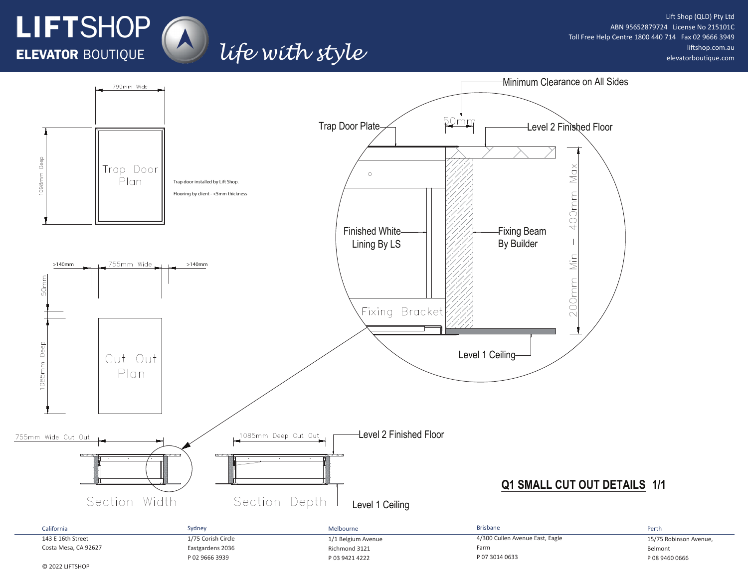

### Lift Shop (QLD) Pty Ltd ABN 95652879724 License No 215101C Toll Free Help Centre 1800 440 714 Fax 02 9666 3949 liftshop.com.au elevatorboutique.com



life with style